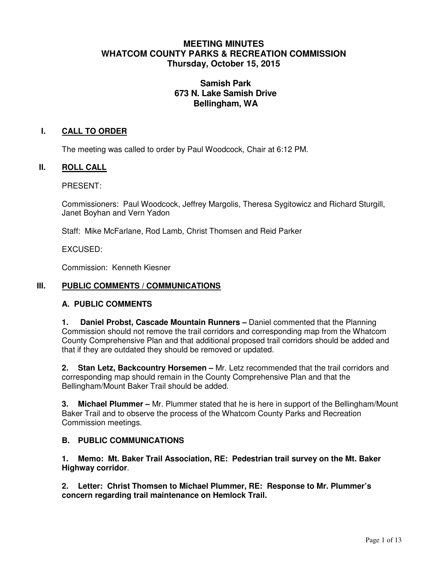# **MEETING MINUTES WHATCOM COUNTY PARKS & RECREATION COMMISSION Thursday, October 15, 2015**

# **Samish Park 673 N. Lake Samish Drive Bellingham, WA**

## **I. CALL TO ORDER**

The meeting was called to order by Paul Woodcock, Chair at 6:12 PM.

#### **II. ROLL CALL**

PRESENT:

Commissioners: Paul Woodcock, Jeffrey Margolis, Theresa Sygitowicz and Richard Sturgill, Janet Boyhan and Vern Yadon

Staff: Mike McFarlane, Rod Lamb, Christ Thomsen and Reid Parker

EXCUSED:

Commission: Kenneth Kiesner

#### **III. PUBLIC COMMENTS / COMMUNICATIONS**

### **A. PUBLIC COMMENTS**

**1. Daniel Probst, Cascade Mountain Runners –** Daniel commented that the Planning Commission should not remove the trail corridors and corresponding map from the Whatcom County Comprehensive Plan and that additional proposed trail corridors should be added and that if they are outdated they should be removed or updated.

**2. Stan Letz, Backcountry Horsemen –** Mr. Letz recommended that the trail corridors and corresponding map should remain in the County Comprehensive Plan and that the Bellingham/Mount Baker Trail should be added.

**3. Michael Plummer –** Mr. Plummer stated that he is here in support of the Bellingham/Mount Baker Trail and to observe the process of the Whatcom County Parks and Recreation Commission meetings.

#### **B. PUBLIC COMMUNICATIONS**

**1. Memo: Mt. Baker Trail Association, RE: Pedestrian trail survey on the Mt. Baker Highway corridor**.

**2. Letter: Christ Thomsen to Michael Plummer, RE: Response to Mr. Plummer's concern regarding trail maintenance on Hemlock Trail.**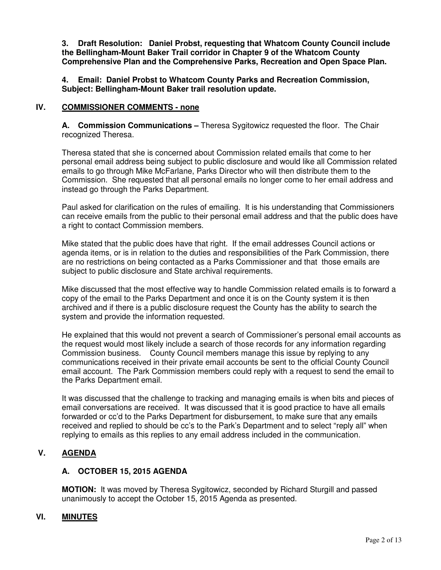**3. Draft Resolution: Daniel Probst, requesting that Whatcom County Council include the Bellingham-Mount Baker Trail corridor in Chapter 9 of the Whatcom County Comprehensive Plan and the Comprehensive Parks, Recreation and Open Space Plan.** 

**4. Email: Daniel Probst to Whatcom County Parks and Recreation Commission, Subject: Bellingham-Mount Baker trail resolution update.** 

### **IV. COMMISSIONER COMMENTS - none**

**A. Commission Communications –** Theresa Sygitowicz requested the floor. The Chair recognized Theresa.

Theresa stated that she is concerned about Commission related emails that come to her personal email address being subject to public disclosure and would like all Commission related emails to go through Mike McFarlane, Parks Director who will then distribute them to the Commission. She requested that all personal emails no longer come to her email address and instead go through the Parks Department.

Paul asked for clarification on the rules of emailing. It is his understanding that Commissioners can receive emails from the public to their personal email address and that the public does have a right to contact Commission members.

Mike stated that the public does have that right. If the email addresses Council actions or agenda items, or is in relation to the duties and responsibilities of the Park Commission, there are no restrictions on being contacted as a Parks Commissioner and that those emails are subject to public disclosure and State archival requirements.

Mike discussed that the most effective way to handle Commission related emails is to forward a copy of the email to the Parks Department and once it is on the County system it is then archived and if there is a public disclosure request the County has the ability to search the system and provide the information requested.

He explained that this would not prevent a search of Commissioner's personal email accounts as the request would most likely include a search of those records for any information regarding Commission business. County Council members manage this issue by replying to any communications received in their private email accounts be sent to the official County Council email account. The Park Commission members could reply with a request to send the email to the Parks Department email.

It was discussed that the challenge to tracking and managing emails is when bits and pieces of email conversations are received. It was discussed that it is good practice to have all emails forwarded or cc'd to the Parks Department for disbursement, to make sure that any emails received and replied to should be cc's to the Park's Department and to select "reply all" when replying to emails as this replies to any email address included in the communication.

# **V. AGENDA**

### **A. OCTOBER 15, 2015 AGENDA**

**MOTION:** It was moved by Theresa Sygitowicz, seconded by Richard Sturgill and passed unanimously to accept the October 15, 2015 Agenda as presented.

### **VI. MINUTES**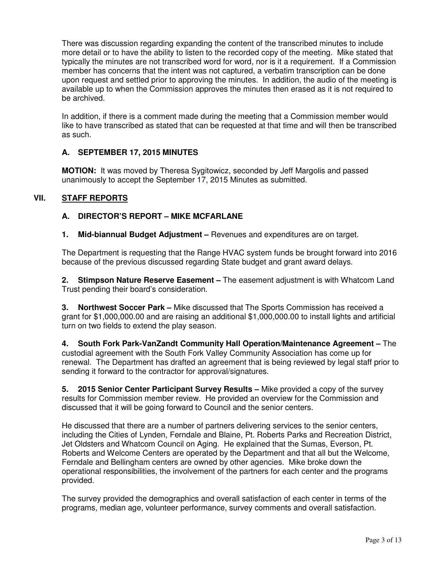There was discussion regarding expanding the content of the transcribed minutes to include more detail or to have the ability to listen to the recorded copy of the meeting. Mike stated that typically the minutes are not transcribed word for word, nor is it a requirement. If a Commission member has concerns that the intent was not captured, a verbatim transcription can be done upon request and settled prior to approving the minutes. In addition, the audio of the meeting is available up to when the Commission approves the minutes then erased as it is not required to be archived.

In addition, if there is a comment made during the meeting that a Commission member would like to have transcribed as stated that can be requested at that time and will then be transcribed as such.

## **A. SEPTEMBER 17, 2015 MINUTES**

**MOTION:** It was moved by Theresa Sygitowicz, seconded by Jeff Margolis and passed unanimously to accept the September 17, 2015 Minutes as submitted.

## **VII. STAFF REPORTS**

## **A. DIRECTOR'S REPORT – MIKE MCFARLANE**

**1. Mid-biannual Budget Adjustment –** Revenues and expenditures are on target.

The Department is requesting that the Range HVAC system funds be brought forward into 2016 because of the previous discussed regarding State budget and grant award delays.

**2. Stimpson Nature Reserve Easement –** The easement adjustment is with Whatcom Land Trust pending their board's consideration.

**3. Northwest Soccer Park –** Mike discussed that The Sports Commission has received a grant for \$1,000,000.00 and are raising an additional \$1,000,000.00 to install lights and artificial turn on two fields to extend the play season.

**4. South Fork Park-VanZandt Community Hall Operation/Maintenance Agreement –** The custodial agreement with the South Fork Valley Community Association has come up for renewal. The Department has drafted an agreement that is being reviewed by legal staff prior to sending it forward to the contractor for approval/signatures.

**5. 2015 Senior Center Participant Survey Results –** Mike provided a copy of the survey results for Commission member review. He provided an overview for the Commission and discussed that it will be going forward to Council and the senior centers.

He discussed that there are a number of partners delivering services to the senior centers, including the Cities of Lynden, Ferndale and Blaine, Pt. Roberts Parks and Recreation District, Jet Oldsters and Whatcom Council on Aging. He explained that the Sumas, Everson, Pt. Roberts and Welcome Centers are operated by the Department and that all but the Welcome, Ferndale and Bellingham centers are owned by other agencies. Mike broke down the operational responsibilities, the involvement of the partners for each center and the programs provided.

The survey provided the demographics and overall satisfaction of each center in terms of the programs, median age, volunteer performance, survey comments and overall satisfaction.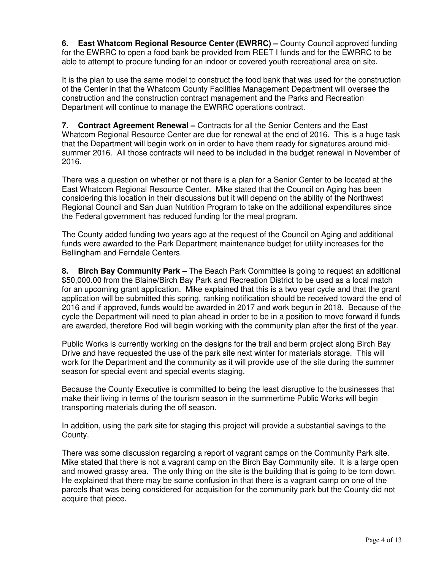**6. East Whatcom Regional Resource Center (EWRRC) –** County Council approved funding for the EWRRC to open a food bank be provided from REET I funds and for the EWRRC to be able to attempt to procure funding for an indoor or covered youth recreational area on site.

It is the plan to use the same model to construct the food bank that was used for the construction of the Center in that the Whatcom County Facilities Management Department will oversee the construction and the construction contract management and the Parks and Recreation Department will continue to manage the EWRRC operations contract.

**7. Contract Agreement Renewal –** Contracts for all the Senior Centers and the East Whatcom Regional Resource Center are due for renewal at the end of 2016. This is a huge task that the Department will begin work on in order to have them ready for signatures around midsummer 2016. All those contracts will need to be included in the budget renewal in November of 2016.

There was a question on whether or not there is a plan for a Senior Center to be located at the East Whatcom Regional Resource Center. Mike stated that the Council on Aging has been considering this location in their discussions but it will depend on the ability of the Northwest Regional Council and San Juan Nutrition Program to take on the additional expenditures since the Federal government has reduced funding for the meal program.

The County added funding two years ago at the request of the Council on Aging and additional funds were awarded to the Park Department maintenance budget for utility increases for the Bellingham and Ferndale Centers.

**8. Birch Bay Community Park –** The Beach Park Committee is going to request an additional \$50,000.00 from the Blaine/Birch Bay Park and Recreation District to be used as a local match for an upcoming grant application. Mike explained that this is a two year cycle and that the grant application will be submitted this spring, ranking notification should be received toward the end of 2016 and if approved, funds would be awarded in 2017 and work begun in 2018. Because of the cycle the Department will need to plan ahead in order to be in a position to move forward if funds are awarded, therefore Rod will begin working with the community plan after the first of the year.

Public Works is currently working on the designs for the trail and berm project along Birch Bay Drive and have requested the use of the park site next winter for materials storage. This will work for the Department and the community as it will provide use of the site during the summer season for special event and special events staging.

Because the County Executive is committed to being the least disruptive to the businesses that make their living in terms of the tourism season in the summertime Public Works will begin transporting materials during the off season.

In addition, using the park site for staging this project will provide a substantial savings to the County.

There was some discussion regarding a report of vagrant camps on the Community Park site. Mike stated that there is not a vagrant camp on the Birch Bay Community site. It is a large open and mowed grassy area. The only thing on the site is the building that is going to be torn down. He explained that there may be some confusion in that there is a vagrant camp on one of the parcels that was being considered for acquisition for the community park but the County did not acquire that piece.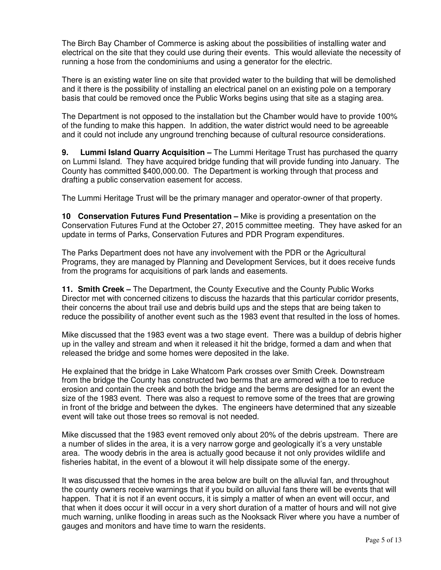The Birch Bay Chamber of Commerce is asking about the possibilities of installing water and electrical on the site that they could use during their events. This would alleviate the necessity of running a hose from the condominiums and using a generator for the electric.

There is an existing water line on site that provided water to the building that will be demolished and it there is the possibility of installing an electrical panel on an existing pole on a temporary basis that could be removed once the Public Works begins using that site as a staging area.

The Department is not opposed to the installation but the Chamber would have to provide 100% of the funding to make this happen. In addition, the water district would need to be agreeable and it could not include any unground trenching because of cultural resource considerations.

**9. Lummi Island Quarry Acquisition –** The Lummi Heritage Trust has purchased the quarry on Lummi Island. They have acquired bridge funding that will provide funding into January. The County has committed \$400,000.00. The Department is working through that process and drafting a public conservation easement for access.

The Lummi Heritage Trust will be the primary manager and operator-owner of that property.

**10 Conservation Futures Fund Presentation –** Mike is providing a presentation on the Conservation Futures Fund at the October 27, 2015 committee meeting. They have asked for an update in terms of Parks, Conservation Futures and PDR Program expenditures.

The Parks Department does not have any involvement with the PDR or the Agricultural Programs, they are managed by Planning and Development Services, but it does receive funds from the programs for acquisitions of park lands and easements.

**11. Smith Creek –** The Department, the County Executive and the County Public Works Director met with concerned citizens to discuss the hazards that this particular corridor presents, their concerns the about trail use and debris build ups and the steps that are being taken to reduce the possibility of another event such as the 1983 event that resulted in the loss of homes.

Mike discussed that the 1983 event was a two stage event. There was a buildup of debris higher up in the valley and stream and when it released it hit the bridge, formed a dam and when that released the bridge and some homes were deposited in the lake.

He explained that the bridge in Lake Whatcom Park crosses over Smith Creek. Downstream from the bridge the County has constructed two berms that are armored with a toe to reduce erosion and contain the creek and both the bridge and the berms are designed for an event the size of the 1983 event. There was also a request to remove some of the trees that are growing in front of the bridge and between the dykes. The engineers have determined that any sizeable event will take out those trees so removal is not needed.

Mike discussed that the 1983 event removed only about 20% of the debris upstream. There are a number of slides in the area, it is a very narrow gorge and geologically it's a very unstable area. The woody debris in the area is actually good because it not only provides wildlife and fisheries habitat, in the event of a blowout it will help dissipate some of the energy.

It was discussed that the homes in the area below are built on the alluvial fan, and throughout the county owners receive warnings that if you build on alluvial fans there will be events that will happen. That it is not if an event occurs, it is simply a matter of when an event will occur, and that when it does occur it will occur in a very short duration of a matter of hours and will not give much warning, unlike flooding in areas such as the Nooksack River where you have a number of gauges and monitors and have time to warn the residents.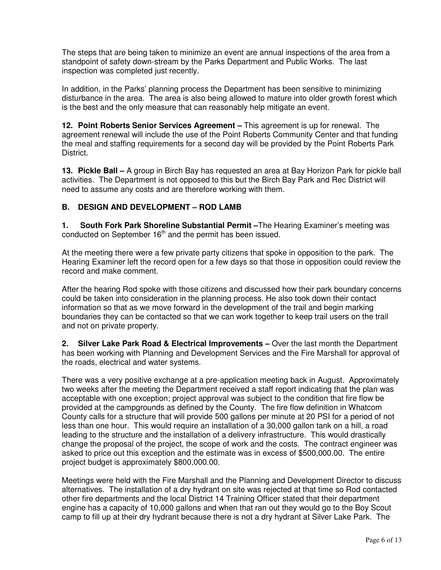The steps that are being taken to minimize an event are annual inspections of the area from a standpoint of safety down-stream by the Parks Department and Public Works. The last inspection was completed just recently.

In addition, in the Parks' planning process the Department has been sensitive to minimizing disturbance in the area. The area is also being allowed to mature into older growth forest which is the best and the only measure that can reasonably help mitigate an event.

**12. Point Roberts Senior Services Agreement –** This agreement is up for renewal. The agreement renewal will include the use of the Point Roberts Community Center and that funding the meal and staffing requirements for a second day will be provided by the Point Roberts Park District.

**13. Pickle Ball –** A group in Birch Bay has requested an area at Bay Horizon Park for pickle ball activities. The Department is not opposed to this but the Birch Bay Park and Rec District will need to assume any costs and are therefore working with them.

## **B. DESIGN AND DEVELOPMENT – ROD LAMB**

**1. South Fork Park Shoreline Substantial Permit –**The Hearing Examiner's meeting was conducted on September 16<sup>th</sup> and the permit has been issued.

At the meeting there were a few private party citizens that spoke in opposition to the park. The Hearing Examiner left the record open for a few days so that those in opposition could review the record and make comment.

After the hearing Rod spoke with those citizens and discussed how their park boundary concerns could be taken into consideration in the planning process. He also took down their contact information so that as we move forward in the development of the trail and begin marking boundaries they can be contacted so that we can work together to keep trail users on the trail and not on private property.

**2. Silver Lake Park Road & Electrical Improvements –** Over the last month the Department has been working with Planning and Development Services and the Fire Marshall for approval of the roads, electrical and water systems.

There was a very positive exchange at a pre-application meeting back in August. Approximately two weeks after the meeting the Department received a staff report indicating that the plan was acceptable with one exception; project approval was subject to the condition that fire flow be provided at the campgrounds as defined by the County. The fire flow definition in Whatcom County calls for a structure that will provide 500 gallons per minute at 20 PSI for a period of not less than one hour. This would require an installation of a 30,000 gallon tank on a hill, a road leading to the structure and the installation of a delivery infrastructure. This would drastically change the proposal of the project, the scope of work and the costs. The contract engineer was asked to price out this exception and the estimate was in excess of \$500,000.00. The entire project budget is approximately \$800,000.00.

Meetings were held with the Fire Marshall and the Planning and Development Director to discuss alternatives. The installation of a dry hydrant on site was rejected at that time so Rod contacted other fire departments and the local District 14 Training Officer stated that their department engine has a capacity of 10,000 gallons and when that ran out they would go to the Boy Scout camp to fill up at their dry hydrant because there is not a dry hydrant at Silver Lake Park. The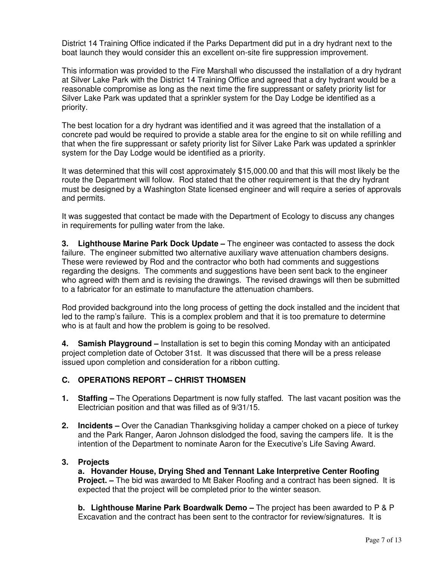District 14 Training Office indicated if the Parks Department did put in a dry hydrant next to the boat launch they would consider this an excellent on-site fire suppression improvement.

This information was provided to the Fire Marshall who discussed the installation of a dry hydrant at Silver Lake Park with the District 14 Training Office and agreed that a dry hydrant would be a reasonable compromise as long as the next time the fire suppressant or safety priority list for Silver Lake Park was updated that a sprinkler system for the Day Lodge be identified as a priority.

The best location for a dry hydrant was identified and it was agreed that the installation of a concrete pad would be required to provide a stable area for the engine to sit on while refilling and that when the fire suppressant or safety priority list for Silver Lake Park was updated a sprinkler system for the Day Lodge would be identified as a priority.

It was determined that this will cost approximately \$15,000.00 and that this will most likely be the route the Department will follow. Rod stated that the other requirement is that the dry hydrant must be designed by a Washington State licensed engineer and will require a series of approvals and permits.

It was suggested that contact be made with the Department of Ecology to discuss any changes in requirements for pulling water from the lake.

**3. Lighthouse Marine Park Dock Update –** The engineer was contacted to assess the dock failure. The engineer submitted two alternative auxiliary wave attenuation chambers designs. These were reviewed by Rod and the contractor who both had comments and suggestions regarding the designs. The comments and suggestions have been sent back to the engineer who agreed with them and is revising the drawings. The revised drawings will then be submitted to a fabricator for an estimate to manufacture the attenuation chambers.

Rod provided background into the long process of getting the dock installed and the incident that led to the ramp's failure. This is a complex problem and that it is too premature to determine who is at fault and how the problem is going to be resolved.

**4. Samish Playground –** Installation is set to begin this coming Monday with an anticipated project completion date of October 31st. It was discussed that there will be a press release issued upon completion and consideration for a ribbon cutting.

# **C. OPERATIONS REPORT – CHRIST THOMSEN**

- **1. Staffing** The Operations Department is now fully staffed. The last vacant position was the Electrician position and that was filled as of 9/31/15.
- **2. Incidents** Over the Canadian Thanksgiving holiday a camper choked on a piece of turkey and the Park Ranger, Aaron Johnson dislodged the food, saving the campers life. It is the intention of the Department to nominate Aaron for the Executive's Life Saving Award.

# **3. Projects**

 **a. Hovander House, Drying Shed and Tennant Lake Interpretive Center Roofing Project. –** The bid was awarded to Mt Baker Roofing and a contract has been signed. It is expected that the project will be completed prior to the winter season.

**b. Lighthouse Marine Park Boardwalk Demo –** The project has been awarded to P & P Excavation and the contract has been sent to the contractor for review/signatures. It is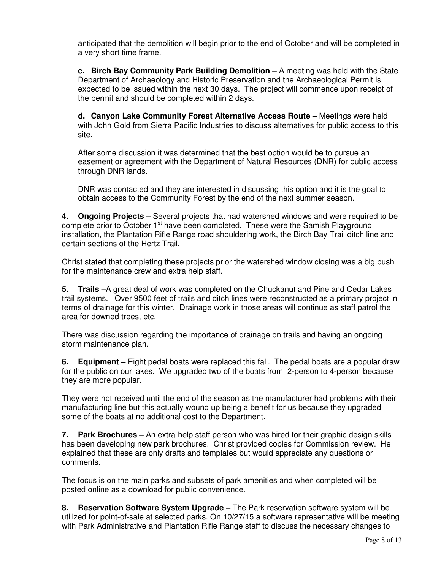anticipated that the demolition will begin prior to the end of October and will be completed in a very short time frame.

**c. Birch Bay Community Park Building Demolition –** A meeting was held with the State Department of Archaeology and Historic Preservation and the Archaeological Permit is expected to be issued within the next 30 days. The project will commence upon receipt of the permit and should be completed within 2 days.

**d. Canyon Lake Community Forest Alternative Access Route –** Meetings were held with John Gold from Sierra Pacific Industries to discuss alternatives for public access to this site.

After some discussion it was determined that the best option would be to pursue an easement or agreement with the Department of Natural Resources (DNR) for public access through DNR lands.

 DNR was contacted and they are interested in discussing this option and it is the goal to obtain access to the Community Forest by the end of the next summer season.

**4. Ongoing Projects –** Several projects that had watershed windows and were required to be complete prior to October 1<sup>st</sup> have been completed. These were the Samish Playground installation, the Plantation Rifle Range road shouldering work, the Birch Bay Trail ditch line and certain sections of the Hertz Trail.

Christ stated that completing these projects prior the watershed window closing was a big push for the maintenance crew and extra help staff.

**5. Trails –**A great deal of work was completed on the Chuckanut and Pine and Cedar Lakes trail systems. Over 9500 feet of trails and ditch lines were reconstructed as a primary project in terms of drainage for this winter. Drainage work in those areas will continue as staff patrol the area for downed trees, etc.

There was discussion regarding the importance of drainage on trails and having an ongoing storm maintenance plan.

**6. Equipment –** Eight pedal boats were replaced this fall. The pedal boats are a popular draw for the public on our lakes. We upgraded two of the boats from 2-person to 4-person because they are more popular.

They were not received until the end of the season as the manufacturer had problems with their manufacturing line but this actually wound up being a benefit for us because they upgraded some of the boats at no additional cost to the Department.

**7. Park Brochures –** An extra-help staff person who was hired for their graphic design skills has been developing new park brochures. Christ provided copies for Commission review. He explained that these are only drafts and templates but would appreciate any questions or comments.

The focus is on the main parks and subsets of park amenities and when completed will be posted online as a download for public convenience.

**8. Reservation Software System Upgrade –** The Park reservation software system will be utilized for point-of-sale at selected parks. On 10/27/15 a software representative will be meeting with Park Administrative and Plantation Rifle Range staff to discuss the necessary changes to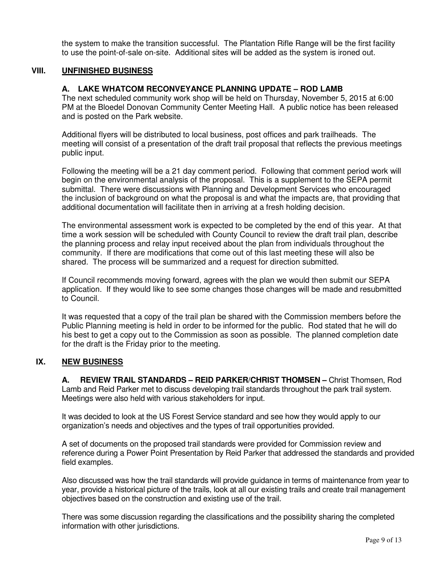the system to make the transition successful. The Plantation Rifle Range will be the first facility to use the point-of-sale on-site. Additional sites will be added as the system is ironed out.

#### **VIII. UNFINISHED BUSINESS**

### **A. LAKE WHATCOM RECONVEYANCE PLANNING UPDATE – ROD LAMB**

The next scheduled community work shop will be held on Thursday, November 5, 2015 at 6:00 PM at the Bloedel Donovan Community Center Meeting Hall. A public notice has been released and is posted on the Park website.

Additional flyers will be distributed to local business, post offices and park trailheads. The meeting will consist of a presentation of the draft trail proposal that reflects the previous meetings public input.

Following the meeting will be a 21 day comment period. Following that comment period work will begin on the environmental analysis of the proposal. This is a supplement to the SEPA permit submittal. There were discussions with Planning and Development Services who encouraged the inclusion of background on what the proposal is and what the impacts are, that providing that additional documentation will facilitate then in arriving at a fresh holding decision.

The environmental assessment work is expected to be completed by the end of this year. At that time a work session will be scheduled with County Council to review the draft trail plan, describe the planning process and relay input received about the plan from individuals throughout the community. If there are modifications that come out of this last meeting these will also be shared. The process will be summarized and a request for direction submitted.

If Council recommends moving forward, agrees with the plan we would then submit our SEPA application. If they would like to see some changes those changes will be made and resubmitted to Council.

It was requested that a copy of the trail plan be shared with the Commission members before the Public Planning meeting is held in order to be informed for the public. Rod stated that he will do his best to get a copy out to the Commission as soon as possible. The planned completion date for the draft is the Friday prior to the meeting.

### **IX. NEW BUSINESS**

 **A. REVIEW TRAIL STANDARDS – REID PARKER/CHRIST THOMSEN –** Christ Thomsen, Rod Lamb and Reid Parker met to discuss developing trail standards throughout the park trail system. Meetings were also held with various stakeholders for input.

It was decided to look at the US Forest Service standard and see how they would apply to our organization's needs and objectives and the types of trail opportunities provided.

A set of documents on the proposed trail standards were provided for Commission review and reference during a Power Point Presentation by Reid Parker that addressed the standards and provided field examples.

Also discussed was how the trail standards will provide guidance in terms of maintenance from year to year, provide a historical picture of the trails, look at all our existing trails and create trail management objectives based on the construction and existing use of the trail.

There was some discussion regarding the classifications and the possibility sharing the completed information with other jurisdictions.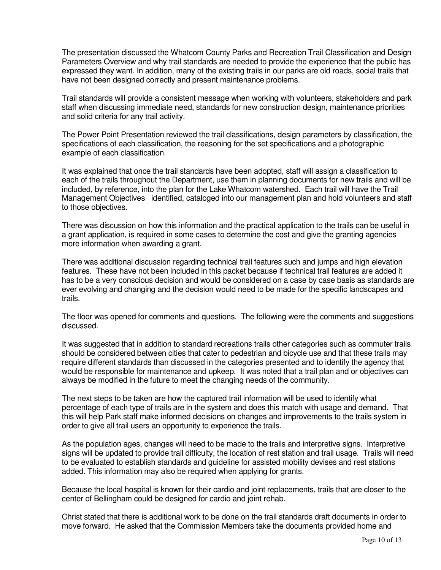The presentation discussed the Whatcom County Parks and Recreation Trail Classification and Design Parameters Overview and why trail standards are needed to provide the experience that the public has expressed they want. In addition, many of the existing trails in our parks are old roads, social trails that have not been designed correctly and present maintenance problems.

Trail standards will provide a consistent message when working with volunteers, stakeholders and park staff when discussing immediate need, standards for new construction design, maintenance priorities and solid criteria for any trail activity.

The Power Point Presentation reviewed the trail classifications, design parameters by classification, the specifications of each classification, the reasoning for the set specifications and a photographic example of each classification.

It was explained that once the trail standards have been adopted, staff will assign a classification to each of the trails throughout the Department, use them in planning documents for new trails and will be included, by reference, into the plan for the Lake Whatcom watershed. Each trail will have the Trail Management Objectives identified, cataloged into our management plan and hold volunteers and staff to those objectives.

There was discussion on how this information and the practical application to the trails can be useful in a grant application, is required in some cases to determine the cost and give the granting agencies more information when awarding a grant.

There was additional discussion regarding technical trail features such and jumps and high elevation features. These have not been included in this packet because if technical trail features are added it has to be a very conscious decision and would be considered on a case by case basis as standards are ever evolving and changing and the decision would need to be made for the specific landscapes and trails.

The floor was opened for comments and questions. The following were the comments and suggestions discussed.

It was suggested that in addition to standard recreations trails other categories such as commuter trails should be considered between cities that cater to pedestrian and bicycle use and that these trails may require different standards than discussed in the categories presented and to identify the agency that would be responsible for maintenance and upkeep. It was noted that a trail plan and or objectives can always be modified in the future to meet the changing needs of the community.

The next steps to be taken are how the captured trail information will be used to identify what percentage of each type of trails are in the system and does this match with usage and demand. That this will help Park staff make informed decisions on changes and improvements to the trails system in order to give all trail users an opportunity to experience the trails.

As the population ages, changes will need to be made to the trails and interpretive signs. Interpretive signs will be updated to provide trail difficulty, the location of rest station and trail usage. Trails will need to be evaluated to establish standards and guideline for assisted mobility devises and rest stations added. This information may also be required when applying for grants.

Because the local hospital is known for their cardio and joint replacements, trails that are closer to the center of Bellingham could be designed for cardio and joint rehab.

Christ stated that there is additional work to be done on the trail standards draft documents in order to move forward. He asked that the Commission Members take the documents provided home and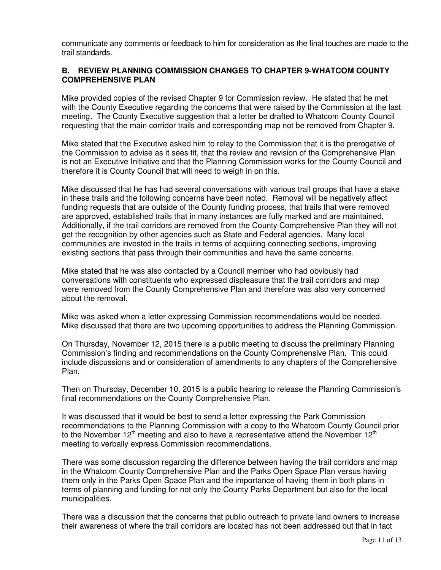communicate any comments or feedback to him for consideration as the final touches are made to the trail standards.

### **B. REVIEW PLANNING COMMISSION CHANGES TO CHAPTER 9-WHATCOM COUNTY COMPREHENSIVE PLAN**

Mike provided copies of the revised Chapter 9 for Commission review. He stated that he met with the County Executive regarding the concerns that were raised by the Commission at the last meeting. The County Executive suggestion that a letter be drafted to Whatcom County Council requesting that the main corridor trails and corresponding map not be removed from Chapter 9.

Mike stated that the Executive asked him to relay to the Commission that it is the prerogative of the Commission to advise as it sees fit, that the review and revision of the Comprehensive Plan is not an Executive Initiative and that the Planning Commission works for the County Council and therefore it is County Council that will need to weigh in on this.

Mike discussed that he has had several conversations with various trail groups that have a stake in these trails and the following concerns have been noted. Removal will be negatively affect funding requests that are outside of the County funding process, that trails that were removed are approved, established trails that in many instances are fully marked and are maintained. Additionally, if the trail corridors are removed from the County Comprehensive Plan they will not get the recognition by other agencies such as State and Federal agencies. Many local communities are invested in the trails in terms of acquiring connecting sections, improving existing sections that pass through their communities and have the same concerns.

Mike stated that he was also contacted by a Council member who had obviously had conversations with constituents who expressed displeasure that the trail corridors and map were removed from the County Comprehensive Plan and therefore was also very concerned about the removal.

Mike was asked when a letter expressing Commission recommendations would be needed. Mike discussed that there are two upcoming opportunities to address the Planning Commission.

On Thursday, November 12, 2015 there is a public meeting to discuss the preliminary Planning Commission's finding and recommendations on the County Comprehensive Plan. This could include discussions and or consideration of amendments to any chapters of the Comprehensive Plan.

Then on Thursday, December 10, 2015 is a public hearing to release the Planning Commission's final recommendations on the County Comprehensive Plan.

It was discussed that it would be best to send a letter expressing the Park Commission recommendations to the Planning Commission with a copy to the Whatcom County Council prior to the November  $12<sup>th</sup>$  meeting and also to have a representative attend the November  $12<sup>th</sup>$ meeting to verbally express Commission recommendations.

There was some discussion regarding the difference between having the trail corridors and map in the Whatcom County Comprehensive Plan and the Parks Open Space Plan versus having them only in the Parks Open Space Plan and the importance of having them in both plans in terms of planning and funding for not only the County Parks Department but also for the local municipalities.

There was a discussion that the concerns that public outreach to private land owners to increase their awareness of where the trail corridors are located has not been addressed but that in fact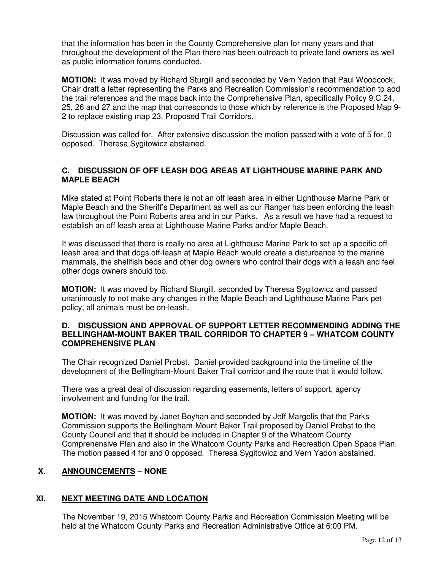that the information has been in the County Comprehensive plan for many years and that throughout the development of the Plan there has been outreach to private land owners as well as public information forums conducted.

**MOTION:** It was moved by Richard Sturgill and seconded by Vern Yadon that Paul Woodcock, Chair draft a letter representing the Parks and Recreation Commission's recommendation to add the trail references and the maps back into the Comprehensive Plan, specifically Policy 9.C.24, 25, 26 and 27 and the map that corresponds to those which by reference is the Proposed Map 9- 2 to replace existing map 23, Proposed Trail Corridors.

Discussion was called for. After extensive discussion the motion passed with a vote of 5 for, 0 opposed. Theresa Sygitowicz abstained.

## **C. DISCUSSION OF OFF LEASH DOG AREAS AT LIGHTHOUSE MARINE PARK AND MAPLE BEACH**

Mike stated at Point Roberts there is not an off leash area in either Lighthouse Marine Park or Maple Beach and the Sheriff's Department as well as our Ranger has been enforcing the leash law throughout the Point Roberts area and in our Parks. As a result we have had a request to establish an off leash area at Lighthouse Marine Parks and/or Maple Beach.

It was discussed that there is really no area at Lighthouse Marine Park to set up a specific offleash area and that dogs off-leash at Maple Beach would create a disturbance to the marine mammals, the shellfish beds and other dog owners who control their dogs with a leash and feel other dogs owners should too.

**MOTION:** It was moved by Richard Sturgill, seconded by Theresa Sygitowicz and passed unanimously to not make any changes in the Maple Beach and Lighthouse Marine Park pet policy, all animals must be on-leash.

#### **D. DISCUSSION AND APPROVAL OF SUPPORT LETTER RECOMMENDING ADDING THE BELLINGHAM-MOUNT BAKER TRAIL CORRIDOR TO CHAPTER 9 – WHATCOM COUNTY COMPREHENSIVE PLAN**

The Chair recognized Daniel Probst. Daniel provided background into the timeline of the development of the Bellingham-Mount Baker Trail corridor and the route that it would follow.

There was a great deal of discussion regarding easements, letters of support, agency involvement and funding for the trail.

**MOTION:** It was moved by Janet Boyhan and seconded by Jeff Margolis that the Parks Commission supports the Bellingham-Mount Baker Trail proposed by Daniel Probst to the County Council and that it should be included in Chapter 9 of the Whatcom County Comprehensive Plan and also in the Whatcom County Parks and Recreation Open Space Plan. The motion passed 4 for and 0 opposed. Theresa Sygitowicz and Vern Yadon abstained.

# **X. ANNOUNCEMENTS – NONE**

## **XI. NEXT MEETING DATE AND LOCATION**

The November 19, 2015 Whatcom County Parks and Recreation Commission Meeting will be held at the Whatcom County Parks and Recreation Administrative Office at 6:00 PM.